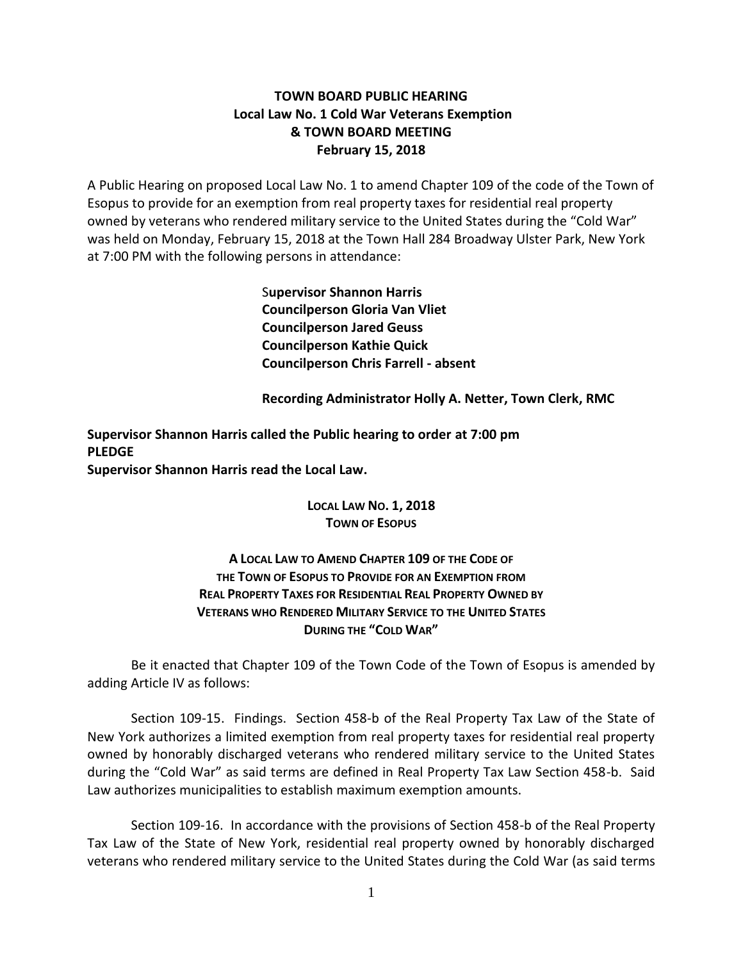# **TOWN BOARD PUBLIC HEARING Local Law No. 1 Cold War Veterans Exemption & TOWN BOARD MEETING February 15, 2018**

A Public Hearing on proposed Local Law No. 1 to amend Chapter 109 of the code of the Town of Esopus to provide for an exemption from real property taxes for residential real property owned by veterans who rendered military service to the United States during the "Cold War" was held on Monday, February 15, 2018 at the Town Hall 284 Broadway Ulster Park, New York at 7:00 PM with the following persons in attendance:

> S**upervisor Shannon Harris Councilperson Gloria Van Vliet Councilperson Jared Geuss Councilperson Kathie Quick Councilperson Chris Farrell - absent**

**Recording Administrator Holly A. Netter, Town Clerk, RMC**

**Supervisor Shannon Harris called the Public hearing to order at 7:00 pm PLEDGE Supervisor Shannon Harris read the Local Law.**

> **LOCAL LAW NO. 1, 2018 TOWN OF ESOPUS**

**A LOCAL LAW TO AMEND CHAPTER 109 OF THE CODE OF THE TOWN OF ESOPUS TO PROVIDE FOR AN EXEMPTION FROM REAL PROPERTY TAXES FOR RESIDENTIAL REAL PROPERTY OWNED BY VETERANS WHO RENDERED MILITARY SERVICE TO THE UNITED STATES DURING THE "COLD WAR"**

Be it enacted that Chapter 109 of the Town Code of the Town of Esopus is amended by adding Article IV as follows:

Section 109-15. Findings. Section 458-b of the Real Property Tax Law of the State of New York authorizes a limited exemption from real property taxes for residential real property owned by honorably discharged veterans who rendered military service to the United States during the "Cold War" as said terms are defined in Real Property Tax Law Section 458-b. Said Law authorizes municipalities to establish maximum exemption amounts.

Section 109-16. In accordance with the provisions of Section 458-b of the Real Property Tax Law of the State of New York, residential real property owned by honorably discharged veterans who rendered military service to the United States during the Cold War (as said terms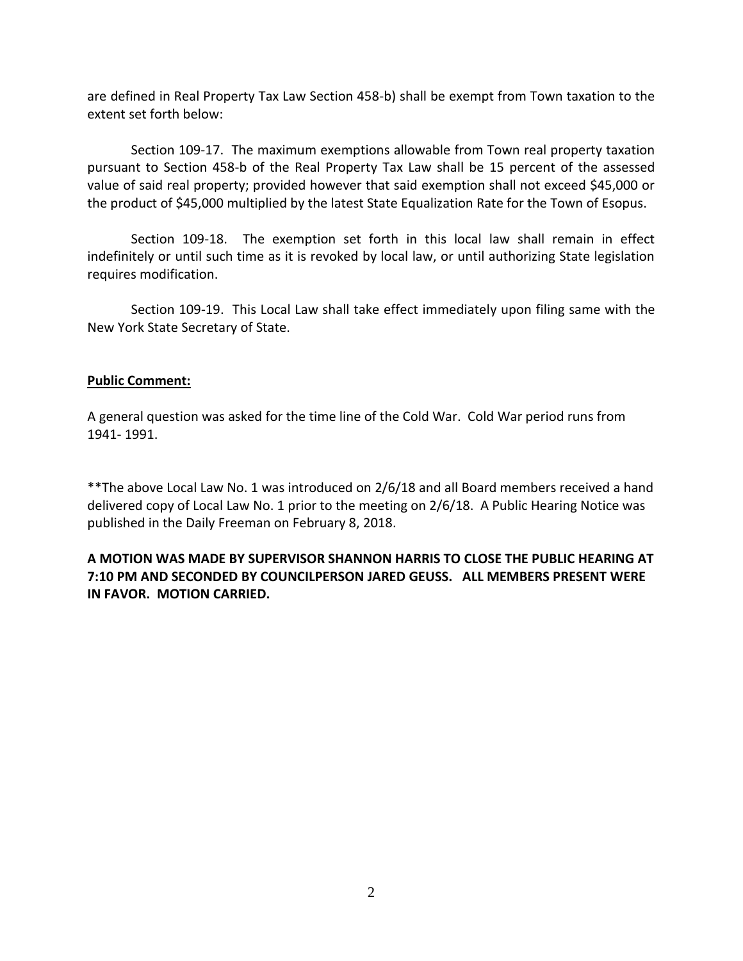are defined in Real Property Tax Law Section 458-b) shall be exempt from Town taxation to the extent set forth below:

Section 109-17. The maximum exemptions allowable from Town real property taxation pursuant to Section 458-b of the Real Property Tax Law shall be 15 percent of the assessed value of said real property; provided however that said exemption shall not exceed \$45,000 or the product of \$45,000 multiplied by the latest State Equalization Rate for the Town of Esopus.

Section 109-18. The exemption set forth in this local law shall remain in effect indefinitely or until such time as it is revoked by local law, or until authorizing State legislation requires modification.

Section 109-19. This Local Law shall take effect immediately upon filing same with the New York State Secretary of State.

### **Public Comment:**

A general question was asked for the time line of the Cold War. Cold War period runs from 1941- 1991.

\*\*The above Local Law No. 1 was introduced on 2/6/18 and all Board members received a hand delivered copy of Local Law No. 1 prior to the meeting on 2/6/18. A Public Hearing Notice was published in the Daily Freeman on February 8, 2018.

# **A MOTION WAS MADE BY SUPERVISOR SHANNON HARRIS TO CLOSE THE PUBLIC HEARING AT 7:10 PM AND SECONDED BY COUNCILPERSON JARED GEUSS. ALL MEMBERS PRESENT WERE IN FAVOR. MOTION CARRIED.**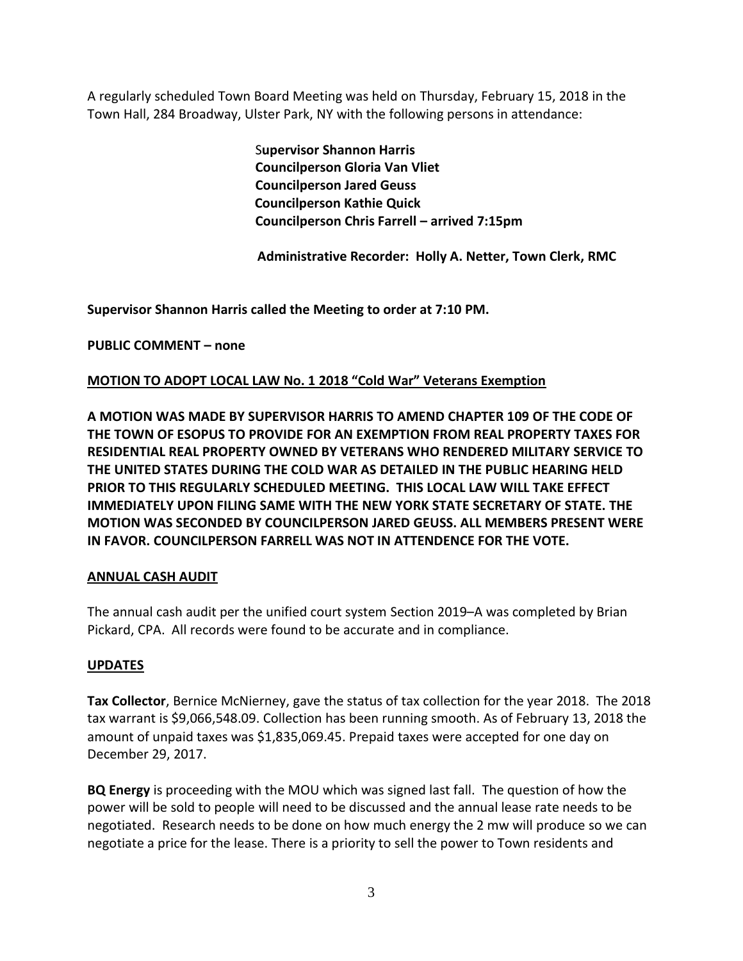A regularly scheduled Town Board Meeting was held on Thursday, February 15, 2018 in the Town Hall, 284 Broadway, Ulster Park, NY with the following persons in attendance:

> S**upervisor Shannon Harris Councilperson Gloria Van Vliet Councilperson Jared Geuss Councilperson Kathie Quick Councilperson Chris Farrell – arrived 7:15pm**

**Administrative Recorder: Holly A. Netter, Town Clerk, RMC**

**Supervisor Shannon Harris called the Meeting to order at 7:10 PM.** 

**PUBLIC COMMENT – none**

# **MOTION TO ADOPT LOCAL LAW No. 1 2018 "Cold War" Veterans Exemption**

**A MOTION WAS MADE BY SUPERVISOR HARRIS TO AMEND CHAPTER 109 OF THE CODE OF THE TOWN OF ESOPUS TO PROVIDE FOR AN EXEMPTION FROM REAL PROPERTY TAXES FOR RESIDENTIAL REAL PROPERTY OWNED BY VETERANS WHO RENDERED MILITARY SERVICE TO THE UNITED STATES DURING THE COLD WAR AS DETAILED IN THE PUBLIC HEARING HELD PRIOR TO THIS REGULARLY SCHEDULED MEETING. THIS LOCAL LAW WILL TAKE EFFECT IMMEDIATELY UPON FILING SAME WITH THE NEW YORK STATE SECRETARY OF STATE. THE MOTION WAS SECONDED BY COUNCILPERSON JARED GEUSS. ALL MEMBERS PRESENT WERE IN FAVOR. COUNCILPERSON FARRELL WAS NOT IN ATTENDENCE FOR THE VOTE.**

# **ANNUAL CASH AUDIT**

The annual cash audit per the unified court system Section 2019–A was completed by Brian Pickard, CPA. All records were found to be accurate and in compliance.

# **UPDATES**

**Tax Collector**, Bernice McNierney, gave the status of tax collection for the year 2018. The 2018 tax warrant is \$9,066,548.09. Collection has been running smooth. As of February 13, 2018 the amount of unpaid taxes was \$1,835,069.45. Prepaid taxes were accepted for one day on December 29, 2017.

**BQ Energy** is proceeding with the MOU which was signed last fall. The question of how the power will be sold to people will need to be discussed and the annual lease rate needs to be negotiated. Research needs to be done on how much energy the 2 mw will produce so we can negotiate a price for the lease. There is a priority to sell the power to Town residents and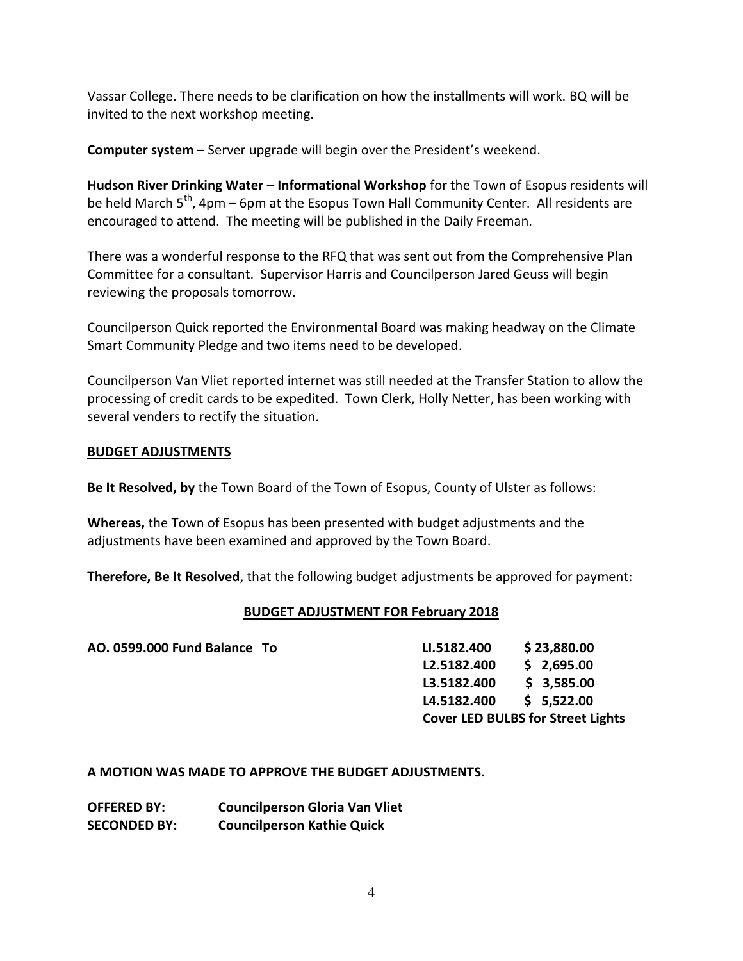Vassar College. There needs to be clarification on how the installments will work. BQ will be invited to the next workshop meeting.

**Computer system** – Server upgrade will begin over the President's weekend.

**Hudson River Drinking Water – Informational Workshop** for the Town of Esopus residents will be held March  $5^{th}$ , 4pm – 6pm at the Esopus Town Hall Community Center. All residents are encouraged to attend. The meeting will be published in the Daily Freeman.

There was a wonderful response to the RFQ that was sent out from the Comprehensive Plan Committee for a consultant. Supervisor Harris and Councilperson Jared Geuss will begin reviewing the proposals tomorrow.

Councilperson Quick reported the Environmental Board was making headway on the Climate Smart Community Pledge and two items need to be developed.

Councilperson Van Vliet reported internet was still needed at the Transfer Station to allow the processing of credit cards to be expedited. Town Clerk, Holly Netter, has been working with several venders to rectify the situation.

# **BUDGET ADJUSTMENTS**

**Be It Resolved, by** the Town Board of the Town of Esopus, County of Ulster as follows:

**Whereas,** the Town of Esopus has been presented with budget adjustments and the adjustments have been examined and approved by the Town Board.

**Therefore, Be It Resolved**, that the following budget adjustments be approved for payment:

# **BUDGET ADJUSTMENT FOR February 2018**

| AO. 0599.000 Fund Balance To | LI.5182.400 | \$23,880.00                              |
|------------------------------|-------------|------------------------------------------|
|                              | L2.5182.400 | \$2,695.00                               |
|                              | L3.5182.400 | \$3,585.00                               |
|                              | L4.5182.400 | \$5,522.00                               |
|                              |             | <b>Cover LED BULBS for Street Lights</b> |

**A MOTION WAS MADE TO APPROVE THE BUDGET ADJUSTMENTS.**

| <b>OFFERED BY:</b>  | <b>Councilperson Gloria Van Vliet</b> |
|---------------------|---------------------------------------|
| <b>SECONDED BY:</b> | <b>Councilperson Kathie Quick</b>     |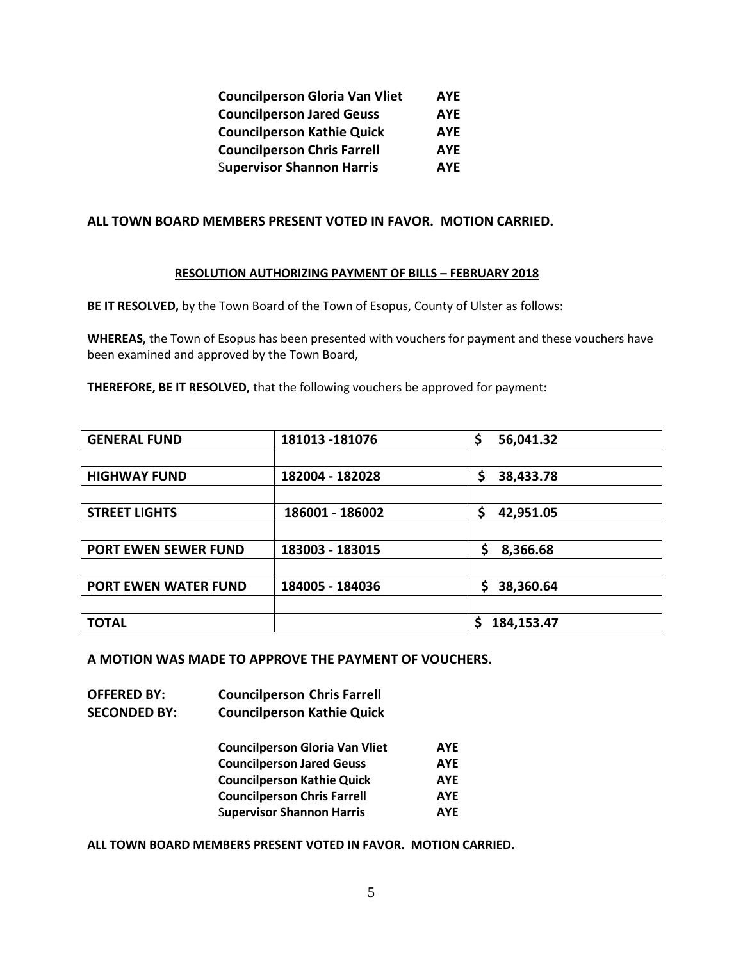| <b>Councilperson Gloria Van Vliet</b> | <b>AYE</b> |
|---------------------------------------|------------|
| <b>Councilperson Jared Geuss</b>      | <b>AYE</b> |
| <b>Councilperson Kathie Quick</b>     | <b>AYE</b> |
| <b>Councilperson Chris Farrell</b>    | <b>AYE</b> |
| <b>Supervisor Shannon Harris</b>      | <b>AYE</b> |

### **ALL TOWN BOARD MEMBERS PRESENT VOTED IN FAVOR. MOTION CARRIED.**

#### **RESOLUTION AUTHORIZING PAYMENT OF BILLS – FEBRUARY 2018**

**BE IT RESOLVED,** by the Town Board of the Town of Esopus, County of Ulster as follows:

**WHEREAS,** the Town of Esopus has been presented with vouchers for payment and these vouchers have been examined and approved by the Town Board,

**THEREFORE, BE IT RESOLVED,** that the following vouchers be approved for payment**:** 

| <b>GENERAL FUND</b>         | 181013 - 181076 | \$<br>56,041.32 |
|-----------------------------|-----------------|-----------------|
|                             |                 |                 |
| <b>HIGHWAY FUND</b>         | 182004 - 182028 | \$<br>38,433.78 |
|                             |                 |                 |
| <b>STREET LIGHTS</b>        | 186001 - 186002 | \$<br>42,951.05 |
|                             |                 |                 |
| <b>PORT EWEN SEWER FUND</b> | 183003 - 183015 | \$<br>8,366.68  |
|                             |                 |                 |
| <b>PORT EWEN WATER FUND</b> | 184005 - 184036 | 38,360.64<br>\$ |
|                             |                 |                 |
| <b>TOTAL</b>                |                 | 184,153.47      |

**A MOTION WAS MADE TO APPROVE THE PAYMENT OF VOUCHERS.**

**OFFERED BY: Councilperson Chris Farrell SECONDED BY: Councilperson Kathie Quick**

| <b>Councilperson Gloria Van Vliet</b> | <b>AYE</b> |
|---------------------------------------|------------|
| <b>Councilperson Jared Geuss</b>      | <b>AYE</b> |
| <b>Councilperson Kathie Quick</b>     | <b>AYE</b> |
| <b>Councilperson Chris Farrell</b>    | <b>AYE</b> |
| <b>Supervisor Shannon Harris</b>      | <b>AYE</b> |

**ALL TOWN BOARD MEMBERS PRESENT VOTED IN FAVOR. MOTION CARRIED.**